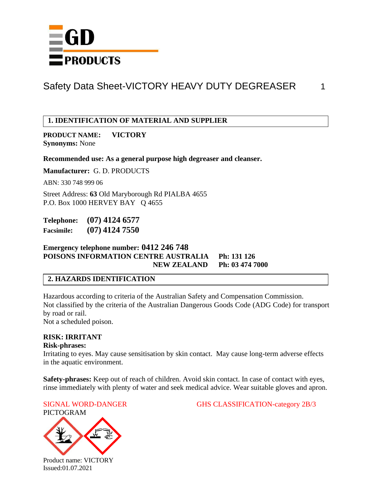

### **1. IDENTIFICATION OF MATERIAL AND SUPPLIER**

**PRODUCT NAME: VICTORY Synonyms:** None

**Recommended use: As a general purpose high degreaser and cleanser.**

**Manufacturer:** G. D. PRODUCTS

ABN: 330 748 999 06

Street Address: **63** Old Maryborough Rd PIALBA 4655 P.O. Box 1000 HERVEY BAY Q 4655

**Telephone: (07) 4124 6577 Facsimile: (07) 4124 7550**

**Emergency telephone number: 0412 246 748 POISONS INFORMATION CENTRE AUSTRALIA Ph: 131 126 NEW ZEALAND Ph: 03 474 7000**

#### **2. HAZARDS IDENTIFICATION**

Hazardous according to criteria of the Australian Safety and Compensation Commission. Not classified by the criteria of the Australian Dangerous Goods Code (ADG Code) for transport by road or rail.

Not a scheduled poison.

#### **RISK: IRRITANT**

**Risk-phrases:**

Irritating to eyes. May cause sensitisation by skin contact. May cause long-term adverse effects in the aquatic environment.

**Safety-phrases:** Keep out of reach of children. Avoid skin contact. In case of contact with eyes, rinse immediately with plenty of water and seek medical advice. Wear suitable gloves and apron.





SIGNAL WORD-DANGER GHS CLASSIFICATION-category 2B/3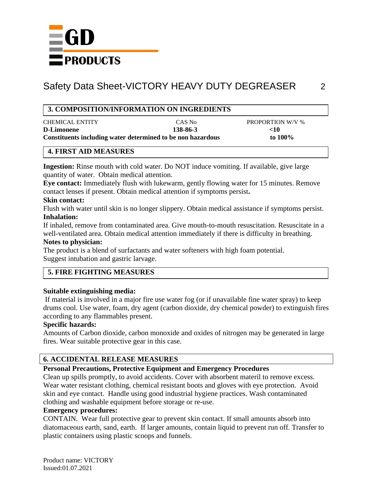

### **3. COMPOSITION/INFORMATION ON INGREDIENTS**

| <b>CHEMICAL ENTITY</b>                                      | CAS No   | <b>PROPORTION W/V %</b> |
|-------------------------------------------------------------|----------|-------------------------|
| <b>D-Limonene</b>                                           | 138-86-3 | -10                     |
| Constituents including water determined to be non hazardous |          | to $100\%$              |

### **4. FIRST AID MEASURES**

**Ingestion:** Rinse mouth with cold water. Do NOT induce vomiting. If available, give large quantity of water. Obtain medical attention.

**Eye contact:** Immediately flush with lukewarm, gently flowing water for 15 minutes. Remove contact lenses if present. Obtain medical attention if symptoms persist**.**

#### **Skin contact:**

Flush with water until skin is no longer slippery. Obtain medical assistance if symptoms persist. **Inhalation:**

If inhaled, remove from contaminated area. Give mouth-to-mouth resuscitation. Resuscitate in a well-ventilated area. Obtain medical attention immediately if there is difficulty in breathing. **Notes to physician:**

### The product is a blend of surfactants and water softeners with high foam potential. Suggest intubation and gastric larvage.

# **5. FIRE FIGHTING MEASURES**

### **Suitable extinguishing media:**

If material is involved in a major fire use water fog (or if unavailable fine water spray) to keep drums cool. Use water, foam, dry agent (carbon dioxide, dry chemical powder) to extinguish fires according to any flammables present.

# **Specific hazards:**

Amounts of Carbon dioxide, carbon monoxide and oxides of nitrogen may be generated in large fires. Wear suitable protective gear in this case.

# **6. ACCIDENTAL RELEASE MEASURES**

# **Personal Precautions, Protective Equipment and Emergency Procedures**

Clean up spills promptly, to avoid accidents. Cover with absorbent materil to remove excess. Wear water resistant clothing, chemical resistant boots and gloves with eye protection. Avoid skin and eye contact. Handle using good industrial hygiene practices. Wash contaminated clothing and washable equipment before storage or re-use.

### **Emergency procedures:**

CONTAIN. Wear full protective gear to prevent skin contact. If small amounts absorb into diatomaceous earth, sand, earth. If larger amounts, contain liquid to prevent run off. Transfer to plastic containers using plastic scoops and funnels.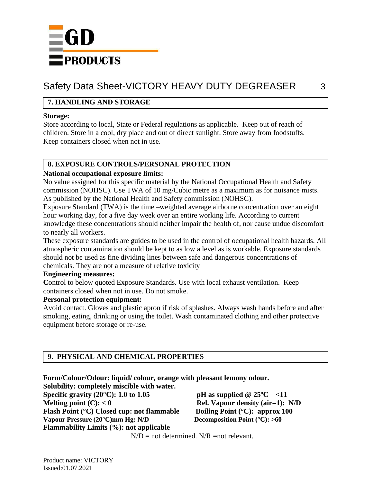

# **7. HANDLING AND STORAGE**

#### **Storage:**

Store according to local, State or Federal regulations as applicable. Keep out of reach of children. Store in a cool, dry place and out of direct sunlight. Store away from foodstuffs. Keep containers closed when not in use.

#### **8. EXPOSURE CONTROLS/PERSONAL PROTECTION**

#### **National occupational exposure limits:**

No value assigned for this specific material by the National Occupational Health and Safety commission (NOHSC). Use TWA of 10 mg/Cubic metre as a maximum as for nuisance mists. As published by the National Health and Safety commission (NOHSC).

Exposure Standard (TWA) is the time –weighted average airborne concentration over an eight hour working day, for a five day week over an entire working life. According to current knowledge these concentrations should neither impair the health of, nor cause undue discomfort to nearly all workers.

These exposure standards are guides to be used in the control of occupational health hazards. All atmospheric contamination should be kept to as low a level as is workable. Exposure standards should not be used as fine dividing lines between safe and dangerous concentrations of chemicals. They are not a measure of relative toxicity

#### **Engineering measures:**

Control to below quoted Exposure Standards. Use with local exhaust ventilation. Keep containers closed when not in use. Do not smoke.

#### **Personal protection equipment:**

Avoid contact. Gloves and plastic apron if risk of splashes. Always wash hands before and after smoking, eating, drinking or using the toilet. Wash contaminated clothing and other protective equipment before storage or re-use.

# **9. PHYSICAL AND CHEMICAL PROPERTIES**

**Flammability Limits (%): not applicable**

| Form/Colour/Odour: liquid/ colour, orange with pleasant lemony odour. |                                                                        |
|-----------------------------------------------------------------------|------------------------------------------------------------------------|
| Solubility: completely miscible with water.                           |                                                                        |
| Specific gravity $(20^{\circ}$ C): 1.0 to 1.05                        | pH as supplied $@25°C < 11$                                            |
| Melting point $(C)$ : $< 0$                                           | <b>Rel. Vapour density (air=1):</b> N                                  |
| Flash Point (°C) Closed cup: not flammable                            | Boiling Point $(^{\circ}C)$ : approx 100                               |
| $V_{\alpha\alpha}$ and Dressens (200C) the H <sub>at</sub> M/D        | $D_{0.00000000000001}$ $D_{0.001}$ ( $\theta$ C) $\theta$ ( $\theta$ ) |

**Melting point (C): < 0 Rel. Vapour density (air=1): N/D Vapour Pressure (20°C)mm Hg: N/D Decomposition Point (°C): >60**

 $N/D$  = not determined.  $N/R$  =not relevant.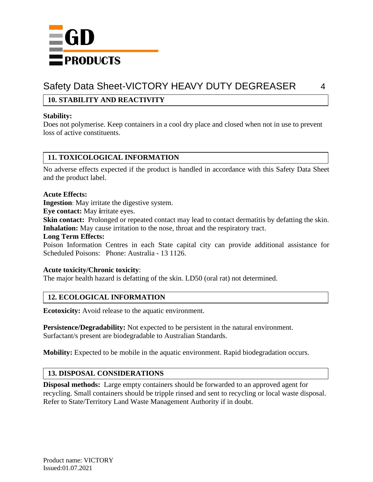

# **10. STABILITY AND REACTIVITY**

#### **Stability:**

Does not polymerise. Keep containers in a cool dry place and closed when not in use to prevent loss of active constituents.

### **11. TOXICOLOGICAL INFORMATION**

No adverse effects expected if the product is handled in accordance with this Safety Data Sheet and the product label.

#### **Acute Effects:**

**Ingestion**: May irritate the digestive system.

**Eye contact:** May **i**rritate eyes.

**Skin contact:** Prolonged or repeated contact may lead to contact dermatitis by defatting the skin. Inhalation: May cause irritation to the nose, throat and the respiratory tract.

#### **Long Term Effects:**

Poison Information Centres in each State capital city can provide additional assistance for Scheduled Poisons: Phone: Australia - 13 1126.

#### **Acute toxicity/Chronic toxicity**:

The major health hazard is defatting of the skin. LD50 (oral rat) not determined.

### **12. ECOLOGICAL INFORMATION**

**Ecotoxicity:** Avoid release to the aquatic environment.

**Persistence/Degradability:** Not expected to be persistent in the natural environment. Surfactant/s present are biodegradable to Australian Standards.

**Mobility:** Expected to be mobile in the aquatic environment. Rapid biodegradation occurs.

### **13. DISPOSAL CONSIDERATIONS**

**Disposal methods:** Large empty containers should be forwarded to an approved agent for recycling. Small containers should be tripple rinsed and sent to recycling or local waste disposal. Refer to State/Territory Land Waste Management Authority if in doubt.